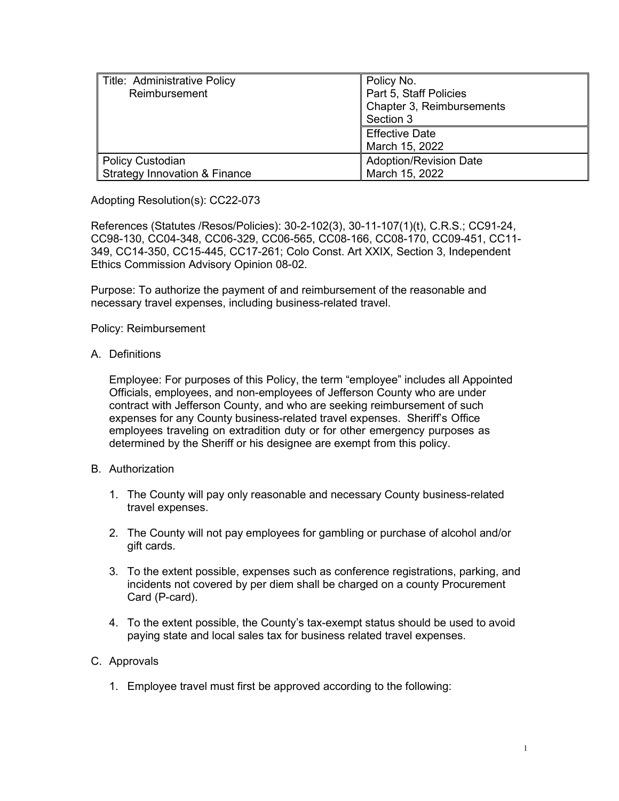| Title: Administrative Policy<br>Reimbursement                | Policy No.<br>Part 5, Staff Policies<br>Chapter 3, Reimbursements<br>Section 3 |
|--------------------------------------------------------------|--------------------------------------------------------------------------------|
|                                                              | <b>Effective Date</b><br>March 15, 2022                                        |
| Policy Custodian<br><b>Strategy Innovation &amp; Finance</b> | <b>Adoption/Revision Date</b><br>March 15, 2022                                |

Adopting Resolution(s): CC22-073

References (Statutes /Resos/Policies): 30-2-102(3), 30-11-107(1)(t), C.R.S.; CC91-24, CC98-130, CC04-348, CC06-329, CC06-565, CC08-166, CC08-170, CC09-451, CC11- 349, CC14-350, CC15-445, CC17-261; Colo Const. Art XXIX, Section 3, Independent Ethics Commission Advisory Opinion 08-02.

Purpose: To authorize the payment of and reimbursement of the reasonable and necessary travel expenses, including business-related travel.

Policy: Reimbursement

A. Definitions

Employee: For purposes of this Policy, the term "employee" includes all Appointed Officials, employees, and non-employees of Jefferson County who are under contract with Jefferson County, and who are seeking reimbursement of such expenses for any County business-related travel expenses. Sheriff's Office employees traveling on extradition duty or for other emergency purposes as determined by the Sheriff or his designee are exempt from this policy.

- B. Authorization
	- 1. The County will pay only reasonable and necessary County business-related travel expenses.
	- 2. The County will not pay employees for gambling or purchase of alcohol and/or gift cards.
	- 3. To the extent possible, expenses such as conference registrations, parking, and incidents not covered by per diem shall be charged on a county Procurement Card (P-card).
	- 4. To the extent possible, the County's tax-exempt status should be used to avoid paying state and local sales tax for business related travel expenses.

## C. Approvals

1. Employee travel must first be approved according to the following: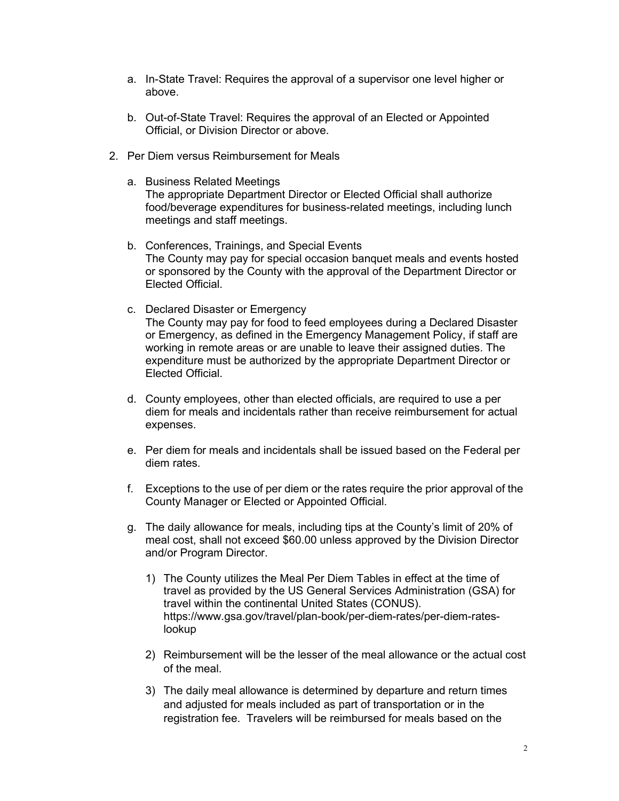- a. In-State Travel: Requires the approval of a supervisor one level higher or above.
- b. Out-of-State Travel: Requires the approval of an Elected or Appointed Official, or Division Director or above.
- 2. Per Diem versus Reimbursement for Meals
	- a. Business Related Meetings The appropriate Department Director or Elected Official shall authorize food/beverage expenditures for business-related meetings, including lunch meetings and staff meetings.
	- b. Conferences, Trainings, and Special Events The County may pay for special occasion banquet meals and events hosted or sponsored by the County with the approval of the Department Director or Elected Official.
	- c. Declared Disaster or Emergency The County may pay for food to feed employees during a Declared Disaster or Emergency, as defined in the Emergency Management Policy, if staff are working in remote areas or are unable to leave their assigned duties. The expenditure must be authorized by the appropriate Department Director or Elected Official.
	- d. County employees, other than elected officials, are required to use a per diem for meals and incidentals rather than receive reimbursement for actual expenses.
	- e. Per diem for meals and incidentals shall be issued based on the Federal per diem rates.
	- f. Exceptions to the use of per diem or the rates require the prior approval of the County Manager or Elected or Appointed Official.
	- g. The daily allowance for meals, including tips at the County's limit of 20% of meal cost, shall not exceed \$60.00 unless approved by the Division Director and/or Program Director.
		- 1) The County utilizes the Meal Per Diem Tables in effect at the time of travel as provided by the US General Services Administration (GSA) for travel within the continental United States (CONUS). [https://www.gsa.gov/travel/plan-book/per-diem-rates/per-diem-rates](https://www.gsa.gov/travel/plan-book/per-diem-rates/per-diem-rates-lookup)[lookup](https://www.gsa.gov/travel/plan-book/per-diem-rates/per-diem-rates-lookup)
		- 2) Reimbursement will be the lesser of the meal allowance or the actual cost of the meal.
		- 3) The daily meal allowance is determined by departure and return times and adjusted for meals included as part of transportation or in the registration fee. Travelers will be reimbursed for meals based on the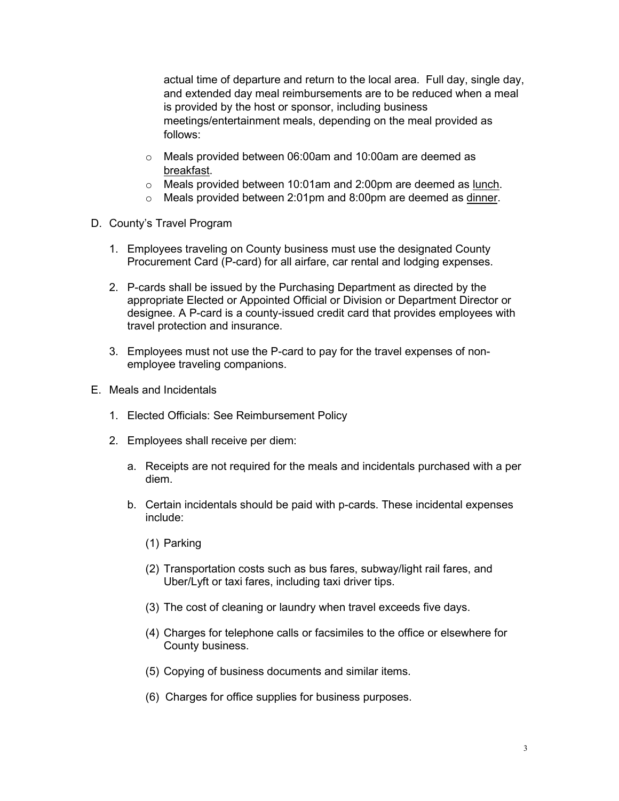actual time of departure and return to the local area. Full day, single day, and extended day meal reimbursements are to be reduced when a meal is provided by the host or sponsor, including business meetings/entertainment meals, depending on the meal provided as follows:

- o Meals provided between 06:00am and 10:00am are deemed as breakfast.
- o Meals provided between 10:01am and 2:00pm are deemed as lunch.
- o Meals provided between 2:01pm and 8:00pm are deemed as dinner.
- D. County's Travel Program
	- 1. Employees traveling on County business must use the designated County Procurement Card (P-card) for all airfare, car rental and lodging expenses.
	- 2. P-cards shall be issued by the Purchasing Department as directed by the appropriate Elected or Appointed Official or Division or Department Director or designee. A P-card is a county-issued credit card that provides employees with travel protection and insurance.
	- 3. Employees must not use the P-card to pay for the travel expenses of nonemployee traveling companions.
- E. Meals and Incidentals
	- 1. Elected Officials: See Reimbursement Policy
	- 2. Employees shall receive per diem:
		- a. Receipts are not required for the meals and incidentals purchased with a per diem.
		- b. Certain incidentals should be paid with p-cards. These incidental expenses include:
			- (1) Parking
			- (2) Transportation costs such as bus fares, subway/light rail fares, and Uber/Lyft or taxi fares, including taxi driver tips.
			- (3) The cost of cleaning or laundry when travel exceeds five days.
			- (4) Charges for telephone calls or facsimiles to the office or elsewhere for County business.
			- (5) Copying of business documents and similar items.
			- (6) Charges for office supplies for business purposes.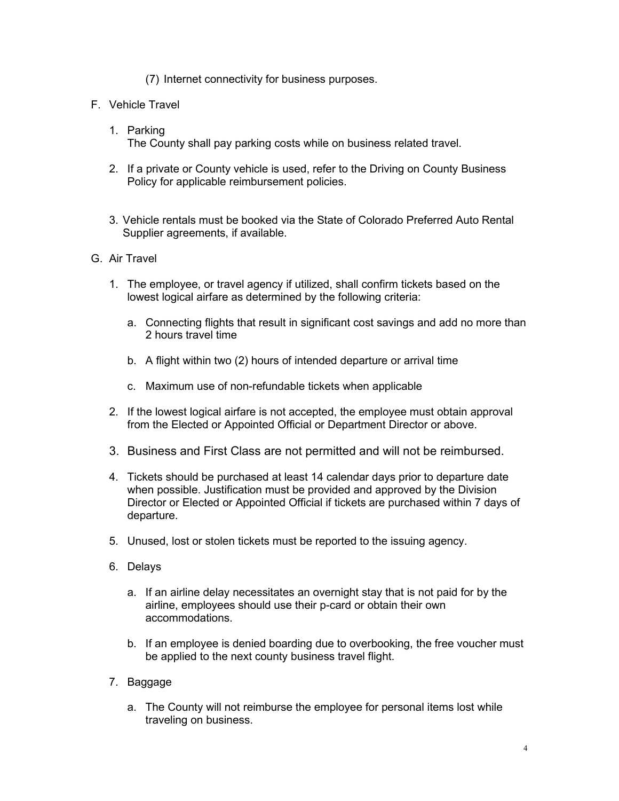## (7) Internet connectivity for business purposes.

- F. Vehicle Travel
	- 1. Parking The County shall pay parking costs while on business related travel.
	- 2. If a private or County vehicle is used, refer to the Driving on County Business Policy for applicable reimbursement policies.
	- 3. Vehicle rentals must be booked via the State of Colorado Preferred Auto Rental Supplier agreements, if available.
- G. Air Travel
	- 1. The employee, or travel agency if utilized, shall confirm tickets based on the lowest logical airfare as determined by the following criteria:
		- a. Connecting flights that result in significant cost savings and add no more than 2 hours travel time
		- b. A flight within two (2) hours of intended departure or arrival time
		- c. Maximum use of non-refundable tickets when applicable
	- 2. If the lowest logical airfare is not accepted, the employee must obtain approval from the Elected or Appointed Official or Department Director or above.
	- 3. Business and First Class are not permitted and will not be reimbursed.
	- 4. Tickets should be purchased at least 14 calendar days prior to departure date when possible. Justification must be provided and approved by the Division Director or Elected or Appointed Official if tickets are purchased within 7 days of departure.
	- 5. Unused, lost or stolen tickets must be reported to the issuing agency.
	- 6. Delays
		- a. If an airline delay necessitates an overnight stay that is not paid for by the airline, employees should use their p-card or obtain their own accommodations.
		- b. If an employee is denied boarding due to overbooking, the free voucher must be applied to the next county business travel flight.
	- 7. Baggage
		- a. The County will not reimburse the employee for personal items lost while traveling on business.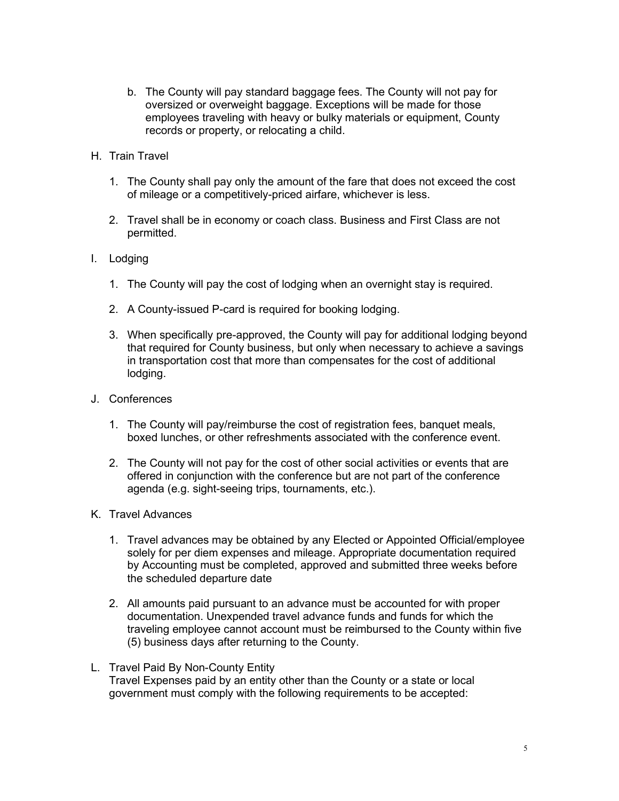- b. The County will pay standard baggage fees. The County will not pay for oversized or overweight baggage. Exceptions will be made for those employees traveling with heavy or bulky materials or equipment, County records or property, or relocating a child.
- H. Train Travel
	- 1. The County shall pay only the amount of the fare that does not exceed the cost of mileage or a competitively-priced airfare, whichever is less.
	- 2. Travel shall be in economy or coach class. Business and First Class are not permitted.
- I. Lodging
	- 1. The County will pay the cost of lodging when an overnight stay is required.
	- 2. A County-issued P-card is required for booking lodging.
	- 3. When specifically pre-approved, the County will pay for additional lodging beyond that required for County business, but only when necessary to achieve a savings in transportation cost that more than compensates for the cost of additional lodging.
- J. Conferences
	- 1. The County will pay/reimburse the cost of registration fees, banquet meals, boxed lunches, or other refreshments associated with the conference event.
	- 2. The County will not pay for the cost of other social activities or events that are offered in conjunction with the conference but are not part of the conference agenda (e.g. sight-seeing trips, tournaments, etc.).
- K. Travel Advances
	- 1. Travel advances may be obtained by any Elected or Appointed Official/employee solely for per diem expenses and mileage. Appropriate documentation required by Accounting must be completed, approved and submitted three weeks before the scheduled departure date
	- 2. All amounts paid pursuant to an advance must be accounted for with proper documentation. Unexpended travel advance funds and funds for which the traveling employee cannot account must be reimbursed to the County within five (5) business days after returning to the County.
- L. Travel Paid By Non-County Entity Travel Expenses paid by an entity other than the County or a state or local government must comply with the following requirements to be accepted: